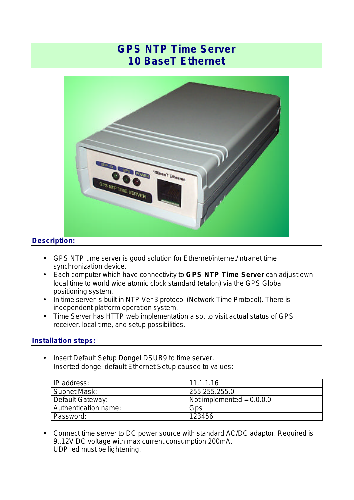# **GPS NTP Time Server 10 BaseT Ethernet**



# **Description:**

- GPS NTP time server is good solution for Ethernet/internet/intranet time synchronization device.
- Each computer which have connectivity to **GPS NTP Time Server** can adjust own local time to world wide atomic clock standard (etalon) via the GPS Global positioning system.
- In time server is built in NTP Ver 3 protocol (Network Time Protocol). There is independent platform operation system.
- Time Server has HTTP web implementation also, to visit actual status of GPS receiver, local time, and setup possibilities.

## **Installation steps:**

• Insert Default Setup Dongel DSUB9 to time server. Inserted dongel default Ethernet Setup caused to values:

| IP address:          | 11.1.1.16                        |
|----------------------|----------------------------------|
| Subnet Mask:         | 255.255.255.0                    |
| Default Gateway:     | $\sim$ Not implemented = 0.0.0.0 |
| Authentication name: | Gps                              |
| Password:            | 123456                           |

• Connect time server to DC power source with standard AC/DC adaptor. Required is 9..12V DC voltage with max current consumption 200mA. UDP led must be lightening.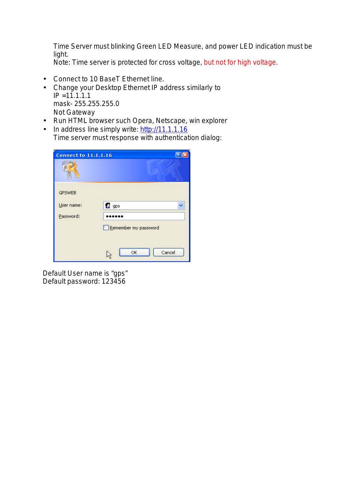Time Server must blinking Green LED Measure, and power LED indication must be light.

*Note:* Time server is protected for cross voltage, but not for high voltage.

- Connect to 10 BaseT Ethernet line.
- Change your Desktop Ethernet IP address similarly to  $IP = 11.1.1.1$ mask- 255.255.255.0 Not Gateway
- Run HTML browser such Opera, Netscape, win explorer
- In address line simply write: http://11.1.1.16 Time server must response with authentication dialog:

| <b>Connect to 11.1.1.16</b> | $\mathbb{R}$         |
|-----------------------------|----------------------|
|                             |                      |
| <b>GPSWEB</b>               |                      |
| User name:                  | $\Omega$ gps         |
| Password:                   |                      |
|                             | Remember my password |
|                             | OK<br>Cancel         |

Default User name is "gps" Default password: 123456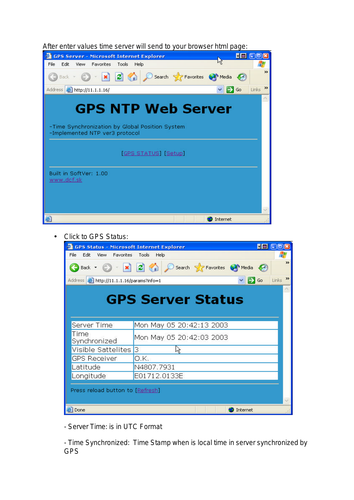| After enter values time server will send to your browser html page: |  |  |  |
|---------------------------------------------------------------------|--|--|--|
|                                                                     |  |  |  |

| <b>GPS Server - Microsoft Internet Explorer</b>                                                                | <b>Film</b>       | 1 - 11 <b>-</b>        |
|----------------------------------------------------------------------------------------------------------------|-------------------|------------------------|
| Edit<br>File<br><b>Favorites</b><br><b>View</b><br>Tools<br>Help                                               |                   |                        |
| Back - O - x 2 A C Search & Favorites @ Media @                                                                |                   | $\rightarrow$          |
| Address <b>&amp; http://11.1.1.16/</b>                                                                         | $\Rightarrow$ Go  | $\rightarrow$<br>Links |
| <b>GPS NTP Web Server</b><br>-Time Synchronization by Global Position System<br>-Implemented NTP ver3 protocol |                   |                        |
| <b>GPS STATUS</b> [Setup]                                                                                      |                   |                        |
| Built in SoftVer: 1.00<br>www.dcf.sk                                                                           |                   | ×.                     |
| đ                                                                                                              | <b>O</b> Internet |                        |

#### • Click to GPS Status:

| <b>GPS Status - Microsoft Internet Explorer</b>     |                                                                                                   | <b>FEE</b> 00          |
|-----------------------------------------------------|---------------------------------------------------------------------------------------------------|------------------------|
| Edit<br>File<br>Favorites<br>View.                  | Tools<br>Help                                                                                     |                        |
|                                                     | Back • • • <b>x 2</b> • <b>x 2</b> • <b>x C</b> search <b>x</b> Favorites <b>e</b> Media <b>e</b> | $\rightarrow$          |
| Address <b>&amp; http://11.1.1.16/params?info=1</b> | $\Rightarrow$ Go                                                                                  | $\rightarrow$<br>Links |
|                                                     |                                                                                                   |                        |
|                                                     |                                                                                                   |                        |
|                                                     | <b>GPS Server Status</b>                                                                          |                        |
|                                                     |                                                                                                   |                        |
|                                                     |                                                                                                   |                        |
| Server Time                                         | Mon May 05 20:42:13 2003                                                                          |                        |
| Time<br>Synchronized                                | Mon May 05 20:42:03 2003                                                                          |                        |
| Visible Sattelites                                  | В                                                                                                 |                        |
| <b>GPS Receiver</b>                                 | 0.K.                                                                                              |                        |
| Latitude                                            | N4807.7931                                                                                        |                        |
| Longitude                                           | E01712.0133E                                                                                      |                        |
|                                                     |                                                                                                   |                        |
| Press reload button to [Refresh]                    |                                                                                                   |                        |
|                                                     |                                                                                                   |                        |
|                                                     |                                                                                                   |                        |
| Done                                                | Internet                                                                                          |                        |

- *Server Time:* is in UTC Format

- *Time Synchronized:* Time Stamp when is local time in server synchronized by GPS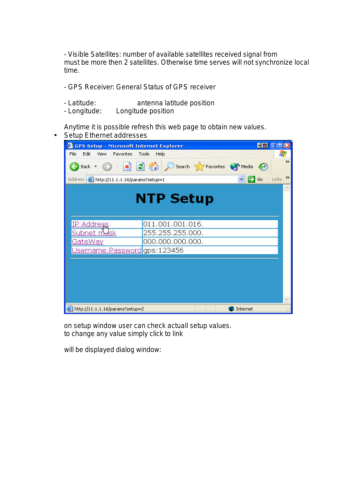- *Visible Satellites:* number of available satellites received signal from must be more then 2 satellites. Otherwise time serves will not synchronize local time.

*- GPS Receiver:* General Status of GPS receiver

- *Latitude:* antenna latitude position
- *Longitude:* Longitude position

Anytime it is possible refresh this web page to obtain new values.

• Setup Ethernet addresses



on setup window user can check actuall setup values. to change any value simply click to link

will be displayed dialog window: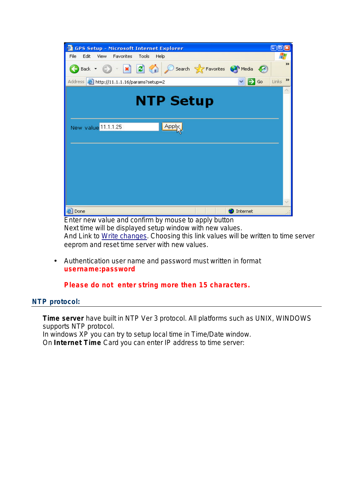| <b>GPS Setup - Microsoft Internet Explorer</b>                                | 1 - 11 - 1             |
|-------------------------------------------------------------------------------|------------------------|
| Edit<br>File<br>View<br><b>Favorites</b><br>Tools<br>Help                     |                        |
| Back v a x 2 3 Search & Favorites a Media<br>-69                              | $\rightarrow$          |
| $\Rightarrow$ Go<br>Address <b>&amp; http://11.1.1.16/params?setup=2</b><br>× | $\rightarrow$<br>Links |
| <b>NTP Setup</b>                                                              |                        |
| Apply<br>New value 11.1.1.25                                                  |                        |
|                                                                               |                        |
| 图<br>Internet<br>Done                                                         | v                      |

Enter new value and confirm by mouse to apply button Next time will be displayed setup window with new values. And Link to Write changes. Choosing this link values will be written to time server eeprom and reset time server with new values.

• Authentication user name and password must written in format **username:password**

**Please do not enter string more then 15 characters.**

## *NTP protocol:*

**Time server** have built in NTP Ver 3 protocol. All platforms such as UNIX, WINDOWS supports NTP protocol. In windows XP you can try to setup local time in Time/Date window. On **Internet Time** Card you can enter IP address to time server: